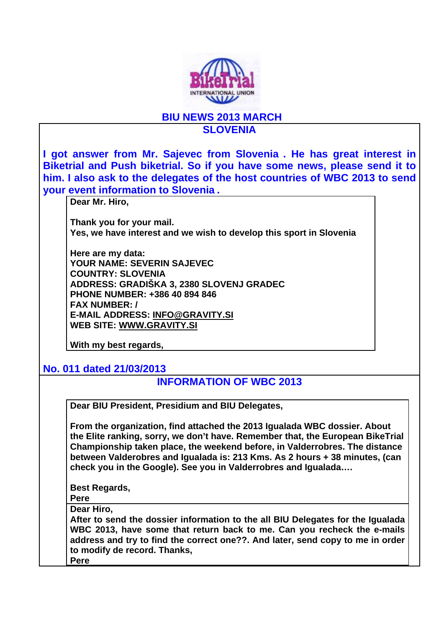

## **BIU NEWS 2013 MARCH SLOVENIA**

**I got answer from Mr. Sajevec from Slovenia . He has great interest in Biketrial and Push biketrial. So if you have some news, please send it to him. I also ask to the delegates of the host countries of WBC 2013 to send your event information to Slovenia . Dear Mr. Hiro, Thank you for your mail. Yes, we have interest and we wish to develop this sport in Slovenia Here are my data: YOUR NAME: SEVERIN SAJEVEC COUNTRY: SLOVENIA ADDRESS: GRADIŠKA 3, 2380 SLOVENJ GRADEC PHONE NUMBER: +386 40 894 846 FAX NUMBER: / E-MAIL ADDRESS: INFO@GRAVITY.SI WEB SITE: WWW.GRAVITY.SI With my best regards, No. 011 dated 21/03/2013 INFORMATION OF WBC 2013 Dear BIU President, Presidium and BIU Delegates, From the organization, find attached the 2013 Igualada WBC dossier. About the Elite ranking, sorry, we don't have. Remember that, the European BikeTrial Championship taken place, the weekend before, in Valderrobres. The distance between Valderobres and Igualada is: 213 Kms. As 2 hours + 38 minutes, (can check you in the Google). See you in Valderrobres and Igualada…. Best Regards, Pere Dear Hiro, After to send the dossier information to the all BIU Delegates for the Igualada WBC 2013, have some that return back to me. Can you recheck the e-mails address and try to find the correct one??. And later, send copy to me in order to modify de record. Thanks, Pere**